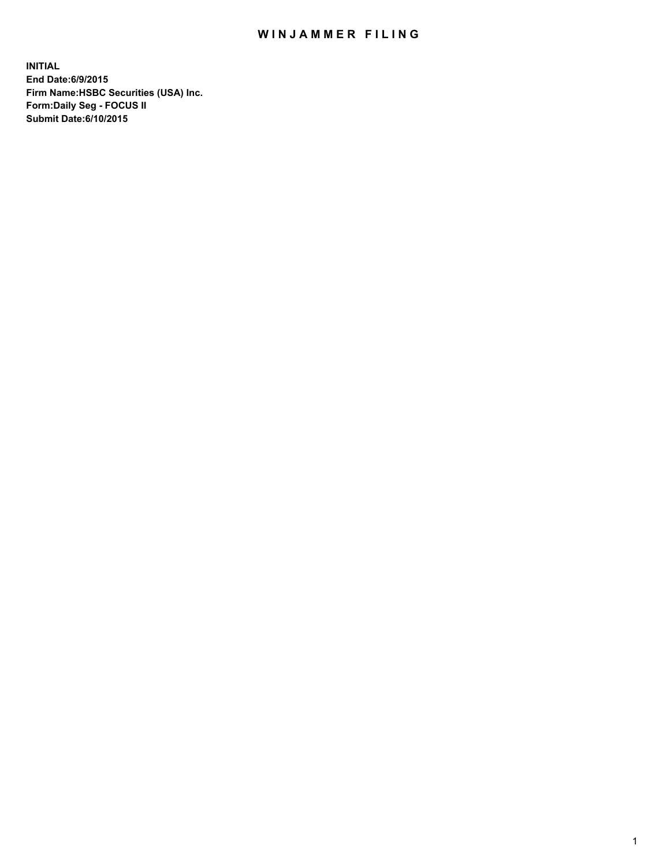## WIN JAMMER FILING

**INITIAL End Date:6/9/2015 Firm Name:HSBC Securities (USA) Inc. Form:Daily Seg - FOCUS II Submit Date:6/10/2015**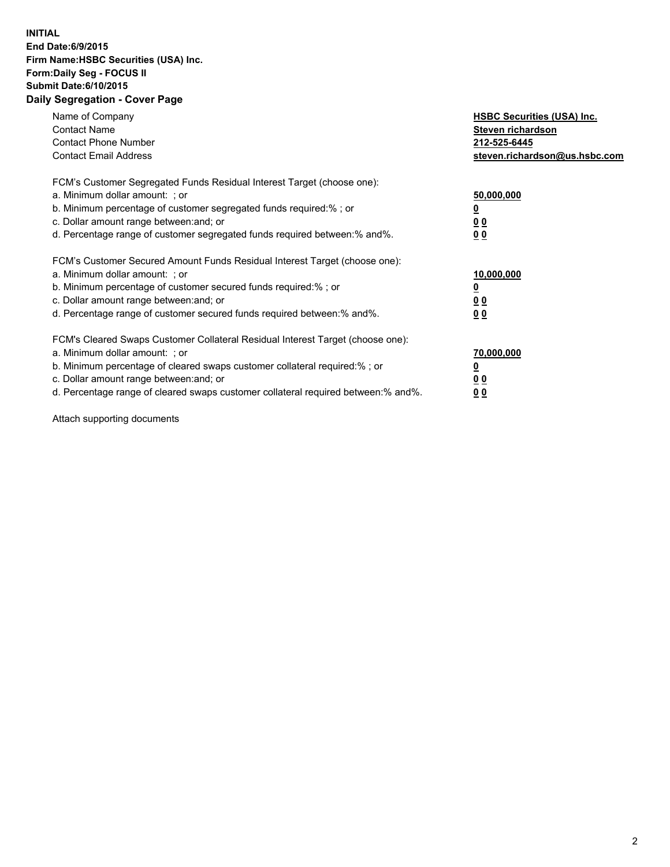## **INITIAL End Date:6/9/2015 Firm Name:HSBC Securities (USA) Inc. Form:Daily Seg - FOCUS II Submit Date:6/10/2015 Daily Segregation - Cover Page**

| Name of Company<br><b>Contact Name</b><br><b>Contact Phone Number</b><br><b>Contact Email Address</b>                                                                                                                                                                                                                         | <b>HSBC Securities (USA) Inc.</b><br>Steven richardson<br>212-525-6445<br>steven.richardson@us.hsbc.com |
|-------------------------------------------------------------------------------------------------------------------------------------------------------------------------------------------------------------------------------------------------------------------------------------------------------------------------------|---------------------------------------------------------------------------------------------------------|
| FCM's Customer Segregated Funds Residual Interest Target (choose one):<br>a. Minimum dollar amount: ; or<br>b. Minimum percentage of customer segregated funds required:% ; or<br>c. Dollar amount range between: and; or<br>d. Percentage range of customer segregated funds required between: % and %.                      | 50,000,000<br>00<br>0 <sub>0</sub>                                                                      |
| FCM's Customer Secured Amount Funds Residual Interest Target (choose one):<br>a. Minimum dollar amount: ; or<br>b. Minimum percentage of customer secured funds required:%; or<br>c. Dollar amount range between: and; or<br>d. Percentage range of customer secured funds required between:% and%.                           | 10,000,000<br>0 <sub>0</sub><br>0 <sub>0</sub>                                                          |
| FCM's Cleared Swaps Customer Collateral Residual Interest Target (choose one):<br>a. Minimum dollar amount: ; or<br>b. Minimum percentage of cleared swaps customer collateral required:%; or<br>c. Dollar amount range between: and; or<br>d. Percentage range of cleared swaps customer collateral required between:% and%. | 70,000,000<br>0 <sub>0</sub><br>00                                                                      |

Attach supporting documents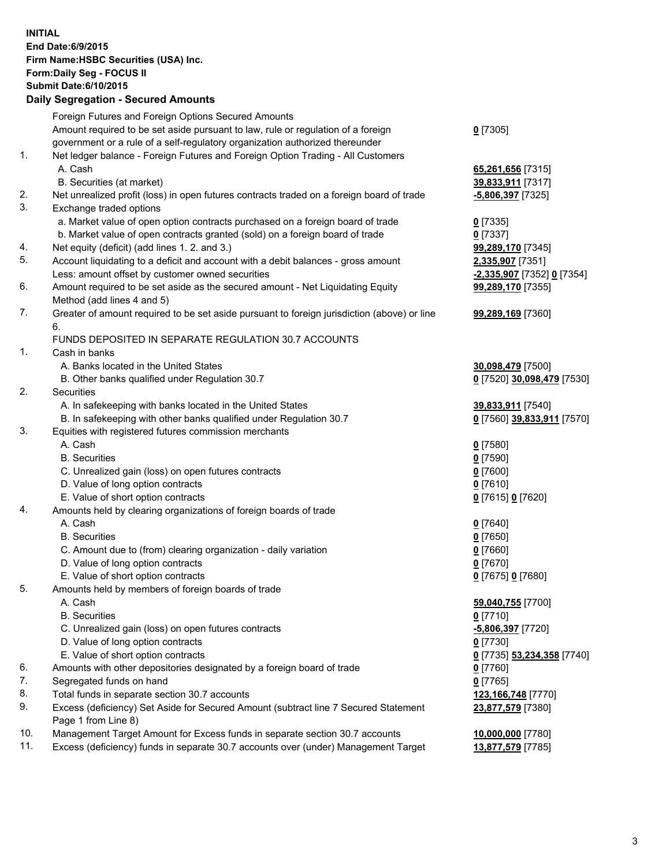**INITIAL End Date:6/9/2015 Firm Name:HSBC Securities (USA) Inc. Form:Daily Seg - FOCUS II Submit Date:6/10/2015 Daily Segregation - Secured Amounts**

|          | Dany Ocgregation - Occurea Anioants                                                                        |                                        |
|----------|------------------------------------------------------------------------------------------------------------|----------------------------------------|
|          | Foreign Futures and Foreign Options Secured Amounts                                                        |                                        |
|          | Amount required to be set aside pursuant to law, rule or regulation of a foreign                           | $0$ [7305]                             |
|          | government or a rule of a self-regulatory organization authorized thereunder                               |                                        |
| 1.       | Net ledger balance - Foreign Futures and Foreign Option Trading - All Customers                            |                                        |
|          | A. Cash                                                                                                    | 65,261,656 [7315]                      |
|          | B. Securities (at market)                                                                                  | 39,833,911 [7317]                      |
| 2.       | Net unrealized profit (loss) in open futures contracts traded on a foreign board of trade                  | -5,806,397 [7325]                      |
| 3.       | Exchange traded options                                                                                    |                                        |
|          | a. Market value of open option contracts purchased on a foreign board of trade                             | $0$ [7335]                             |
|          | b. Market value of open contracts granted (sold) on a foreign board of trade                               | $0$ [7337]                             |
| 4.       | Net equity (deficit) (add lines 1.2. and 3.)                                                               | 99,289,170 [7345]                      |
| 5.       | Account liquidating to a deficit and account with a debit balances - gross amount                          | 2,335,907 [7351]                       |
|          | Less: amount offset by customer owned securities                                                           | -2,335,907 [7352] 0 [7354]             |
| 6.       | Amount required to be set aside as the secured amount - Net Liquidating Equity                             | 99,289,170 [7355]                      |
|          | Method (add lines 4 and 5)                                                                                 |                                        |
| 7.       | Greater of amount required to be set aside pursuant to foreign jurisdiction (above) or line                | 99,289,169 [7360]                      |
|          | 6.                                                                                                         |                                        |
|          | FUNDS DEPOSITED IN SEPARATE REGULATION 30.7 ACCOUNTS                                                       |                                        |
| 1.       | Cash in banks                                                                                              |                                        |
|          | A. Banks located in the United States                                                                      | 30,098,479 [7500]                      |
|          | B. Other banks qualified under Regulation 30.7                                                             | 0 [7520] 30,098,479 [7530]             |
| 2.       | Securities                                                                                                 |                                        |
|          | A. In safekeeping with banks located in the United States                                                  | 39,833,911 [7540]                      |
|          | B. In safekeeping with other banks qualified under Regulation 30.7                                         | 0 [7560] 39,833,911 [7570]             |
| 3.       | Equities with registered futures commission merchants                                                      |                                        |
|          | A. Cash                                                                                                    | $0$ [7580]                             |
|          | <b>B.</b> Securities                                                                                       | $0$ [7590]                             |
|          | C. Unrealized gain (loss) on open futures contracts                                                        | $0$ [7600]                             |
|          | D. Value of long option contracts                                                                          | $0$ [7610]                             |
|          | E. Value of short option contracts                                                                         | 0 [7615] 0 [7620]                      |
| 4.       | Amounts held by clearing organizations of foreign boards of trade                                          |                                        |
|          | A. Cash                                                                                                    | $0$ [7640]                             |
|          | <b>B.</b> Securities                                                                                       | $0$ [7650]                             |
|          | C. Amount due to (from) clearing organization - daily variation                                            | $0$ [7660]                             |
|          | D. Value of long option contracts                                                                          | $0$ [7670]                             |
|          | E. Value of short option contracts                                                                         | 0 [7675] 0 [7680]                      |
| 5.       | Amounts held by members of foreign boards of trade                                                         |                                        |
|          | A. Cash                                                                                                    | 59,040,755 [7700]                      |
|          | <b>B.</b> Securities                                                                                       | $0$ [7710]                             |
|          | C. Unrealized gain (loss) on open futures contracts                                                        | -5,806,397 [7720]                      |
|          | D. Value of long option contracts                                                                          | $0$ [7730]                             |
|          | E. Value of short option contracts                                                                         | 0 [7735] 53,234,358 [7740]             |
| 6.<br>7. | Amounts with other depositories designated by a foreign board of trade                                     | 0 [7760]                               |
| 8.       | Segregated funds on hand                                                                                   | 0 [7765]                               |
| 9.       | Total funds in separate section 30.7 accounts                                                              | 123, 166, 748 [7770]                   |
|          | Excess (deficiency) Set Aside for Secured Amount (subtract line 7 Secured Statement<br>Page 1 from Line 8) | 23,877,579 [7380]                      |
| 10.      | Management Target Amount for Excess funds in separate section 30.7 accounts                                |                                        |
| 11.      | Excess (deficiency) funds in separate 30.7 accounts over (under) Management Target                         | 10,000,000 [7780]<br>13,877,579 [7785] |
|          |                                                                                                            |                                        |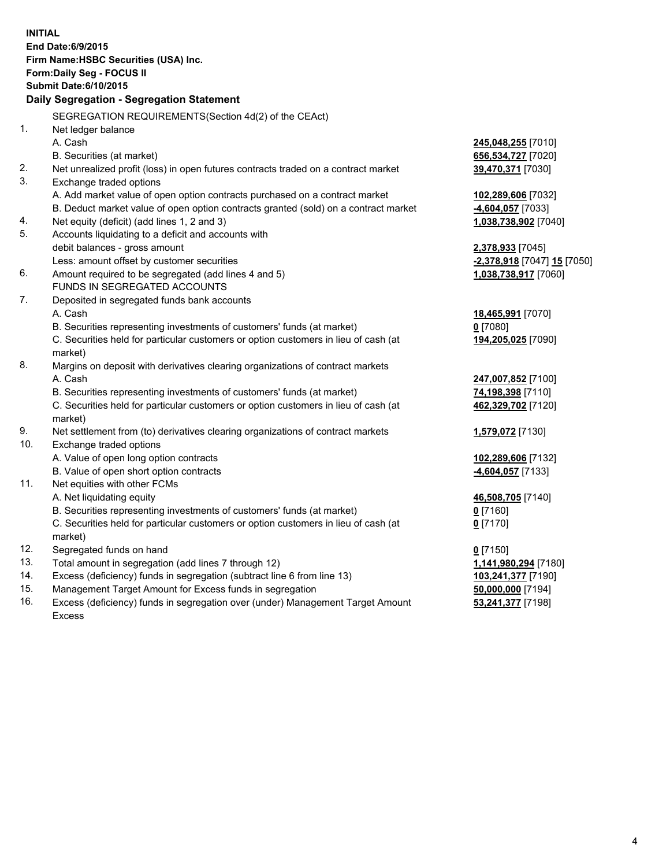| <b>INITIAL</b>                        |                                                                                                |                             |  |  |  |  |  |
|---------------------------------------|------------------------------------------------------------------------------------------------|-----------------------------|--|--|--|--|--|
| End Date: 6/9/2015                    |                                                                                                |                             |  |  |  |  |  |
| Firm Name: HSBC Securities (USA) Inc. |                                                                                                |                             |  |  |  |  |  |
| Form: Daily Seg - FOCUS II            |                                                                                                |                             |  |  |  |  |  |
|                                       | <b>Submit Date:6/10/2015</b>                                                                   |                             |  |  |  |  |  |
|                                       | Daily Segregation - Segregation Statement                                                      |                             |  |  |  |  |  |
|                                       | SEGREGATION REQUIREMENTS(Section 4d(2) of the CEAct)                                           |                             |  |  |  |  |  |
| 1.                                    | Net ledger balance                                                                             |                             |  |  |  |  |  |
|                                       | A. Cash                                                                                        | 245,048,255 [7010]          |  |  |  |  |  |
|                                       | B. Securities (at market)                                                                      | 656,534,727 [7020]          |  |  |  |  |  |
| 2.                                    | Net unrealized profit (loss) in open futures contracts traded on a contract market             | 39,470,371 [7030]           |  |  |  |  |  |
| 3.                                    | Exchange traded options                                                                        |                             |  |  |  |  |  |
|                                       | A. Add market value of open option contracts purchased on a contract market                    | 102,289,606 [7032]          |  |  |  |  |  |
|                                       | B. Deduct market value of open option contracts granted (sold) on a contract market            | -4,604,057 [7033]           |  |  |  |  |  |
| 4.                                    | Net equity (deficit) (add lines 1, 2 and 3)                                                    | 1,038,738,902 [7040]        |  |  |  |  |  |
| 5.                                    | Accounts liquidating to a deficit and accounts with                                            |                             |  |  |  |  |  |
|                                       | debit balances - gross amount                                                                  | 2,378,933 [7045]            |  |  |  |  |  |
|                                       | Less: amount offset by customer securities                                                     | -2,378,918 [7047] 15 [7050] |  |  |  |  |  |
| 6.                                    | Amount required to be segregated (add lines 4 and 5)                                           | 1,038,738,917 [7060]        |  |  |  |  |  |
|                                       | FUNDS IN SEGREGATED ACCOUNTS                                                                   |                             |  |  |  |  |  |
| 7.                                    | Deposited in segregated funds bank accounts                                                    |                             |  |  |  |  |  |
|                                       | A. Cash                                                                                        | 18,465,991 [7070]           |  |  |  |  |  |
|                                       | B. Securities representing investments of customers' funds (at market)                         | $0$ [7080]                  |  |  |  |  |  |
|                                       | C. Securities held for particular customers or option customers in lieu of cash (at            | 194,205,025 [7090]          |  |  |  |  |  |
|                                       | market)                                                                                        |                             |  |  |  |  |  |
| 8.                                    | Margins on deposit with derivatives clearing organizations of contract markets                 |                             |  |  |  |  |  |
|                                       | A. Cash                                                                                        | 247,007,852 [7100]          |  |  |  |  |  |
|                                       | B. Securities representing investments of customers' funds (at market)                         | 74,198,398 [7110]           |  |  |  |  |  |
|                                       | C. Securities held for particular customers or option customers in lieu of cash (at<br>market) | 462,329,702 [7120]          |  |  |  |  |  |
| 9.                                    | Net settlement from (to) derivatives clearing organizations of contract markets                | 1,579,072 [7130]            |  |  |  |  |  |
| 10.                                   | Exchange traded options                                                                        |                             |  |  |  |  |  |
|                                       | A. Value of open long option contracts                                                         | 102,289,606 [7132]          |  |  |  |  |  |
|                                       | B. Value of open short option contracts                                                        | -4,604,057 [7133]           |  |  |  |  |  |
| 11.                                   | Net equities with other FCMs                                                                   |                             |  |  |  |  |  |
|                                       | A. Net liquidating equity                                                                      | 46,508,705 [7140]           |  |  |  |  |  |
|                                       | B. Securities representing investments of customers' funds (at market)                         | 0 [7160]                    |  |  |  |  |  |
|                                       | C. Securities held for particular customers or option customers in lieu of cash (at            | $0$ [7170]                  |  |  |  |  |  |
|                                       | market)                                                                                        |                             |  |  |  |  |  |
| 12.                                   | Segregated funds on hand                                                                       | $0$ [7150]                  |  |  |  |  |  |
| 13.                                   | Total amount in segregation (add lines 7 through 12)                                           | 1,141,980,294 [7180]        |  |  |  |  |  |
| 14.                                   | Excess (deficiency) funds in segregation (subtract line 6 from line 13)                        | 103,241,377 [7190]          |  |  |  |  |  |
| 15.                                   | Management Target Amount for Excess funds in segregation                                       | 50,000,000 [7194]           |  |  |  |  |  |

16. Excess (deficiency) funds in segregation over (under) Management Target Amount Excess

**53,241,377** [7198]